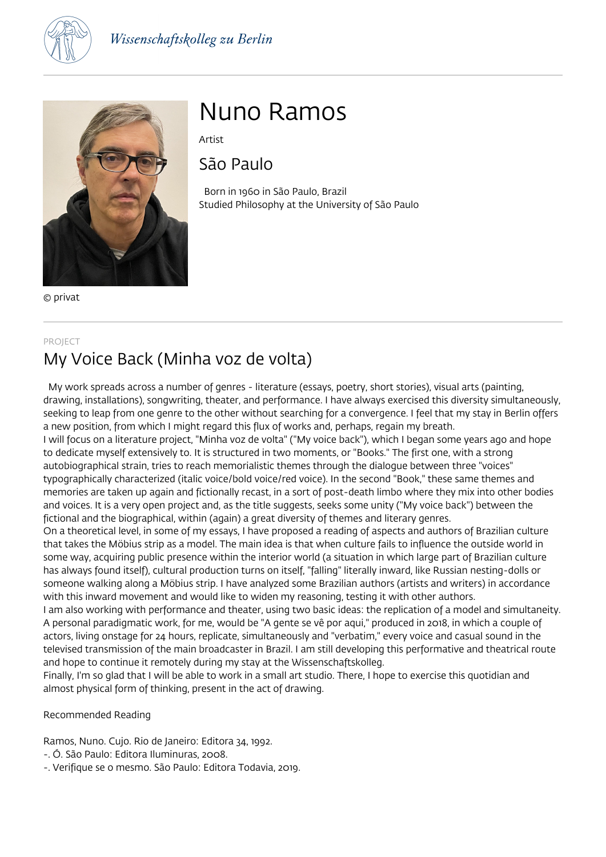



© privat

# Nuno Ramos

Artist

São Paulo

 Born in 1960 in São Paulo, Brazil Studied Philosophy at the University of São Paulo

#### PROJECT

## My Voice Back (Minha voz de volta)

 My work spreads across a number of genres - literature (essays, poetry, short stories), visual arts (painting, drawing, installations), songwriting, theater, and performance. I have always exercised this diversity simultaneously, seeking to leap from one genre to the other without searching for a convergence. I feel that my stay in Berlin offers a new position, from which I might regard this flux of works and, perhaps, regain my breath. I will focus on a literature project, "Minha voz de volta" ("My voice back"), which I began some years ago and hope

to dedicate myself extensively to. It is structured in two moments, or "Books." The first one, with a strong autobiographical strain, tries to reach memorialistic themes through the dialogue between three "voices" typographically characterized (italic voice/bold voice/red voice). In the second "Book," these same themes and memories are taken up again and fictionally recast, in a sort of post-death limbo where they mix into other bodies and voices. It is a very open project and, as the title suggests, seeks some unity ("My voice back") between the fictional and the biographical, within (again) a great diversity of themes and literary genres.

On a theoretical level, in some of my essays, I have proposed a reading of aspects and authors of Brazilian culture that takes the Möbius strip as a model. The main idea is that when culture fails to influence the outside world in some way, acquiring public presence within the interior world (a situation in which large part of Brazilian culture has always found itself), cultural production turns on itself, "falling" literally inward, like Russian nesting-dolls or someone walking along a Möbius strip. I have analyzed some Brazilian authors (artists and writers) in accordance with this inward movement and would like to widen my reasoning, testing it with other authors.

I am also working with performance and theater, using two basic ideas: the replication of a model and simultaneity. A personal paradigmatic work, for me, would be "A gente se vê por aqui," produced in 2018, in which a couple of actors, living onstage for 24 hours, replicate, simultaneously and "verbatim," every voice and casual sound in the televised transmission of the main broadcaster in Brazil. I am still developing this performative and theatrical route and hope to continue it remotely during my stay at the Wissenschaftskolleg.

Finally, I'm so glad that I will be able to work in a small art studio. There, I hope to exercise this quotidian and almost physical form of thinking, present in the act of drawing.

Recommended Reading

Ramos, Nuno. Cujo. Rio de Janeiro: Editora 34, 1992.

- -. Ó. São Paulo: Editora Iluminuras, 2008.
- -. Verifique se o mesmo. São Paulo: Editora Todavia, 2019.